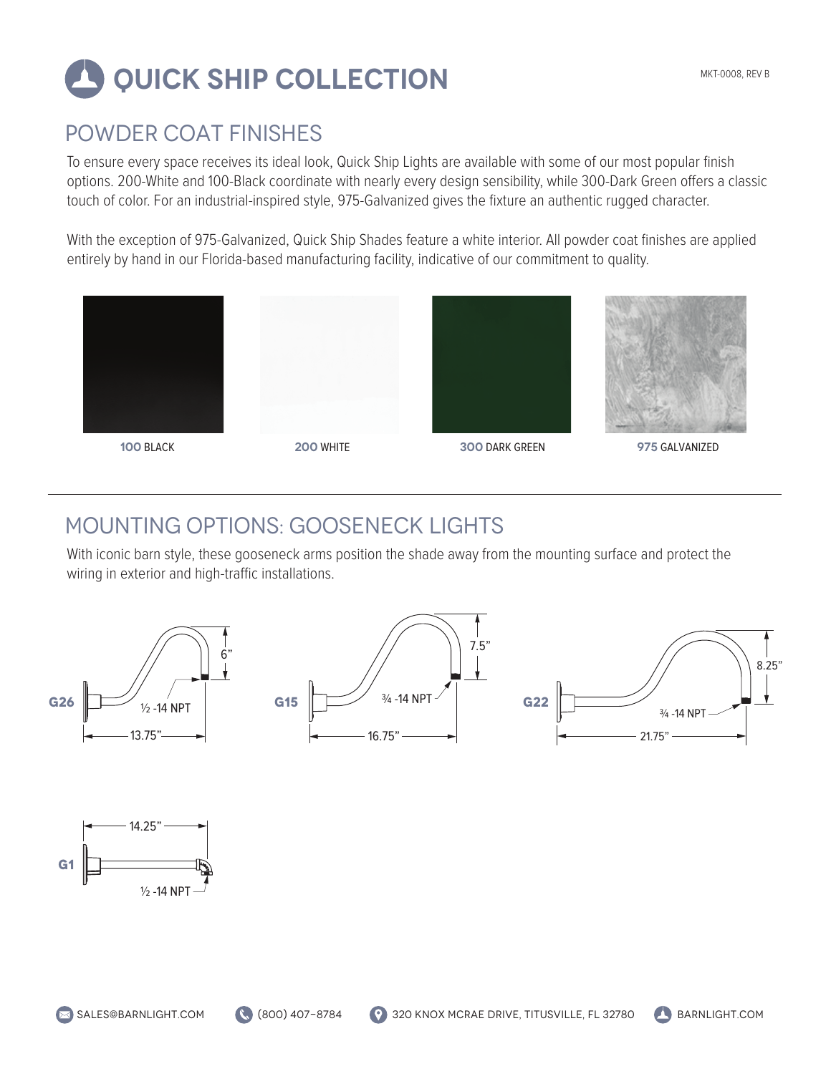# **QUICK SHIP COLLECTION**

#### POWDER COAT FINISHES

To ensure every space receives its ideal look, Quick Ship Lights are available with some of our most popular finish options. 200-White and 100-Black coordinate with nearly every design sensibility, while 300-Dark Green offers a classic touch of color. For an industrial-inspired style, 975-Galvanized gives the fixture an authentic rugged character.

With the exception of 975-Galvanized, Quick Ship Shades feature a white interior. All powder coat finishes are applied entirely by hand in our Florida-based manufacturing facility, indicative of our commitment to quality.







**100** BLACK **200** WHITE **300** DARK GREEN **975** GALVANIZED

## MOUNTING OPTIONS: GOOSENECK LIGHTS

With iconic barn style, these gooseneck arms position the shade away from the mounting surface and protect the wiring in exterior and high-traffic installations.